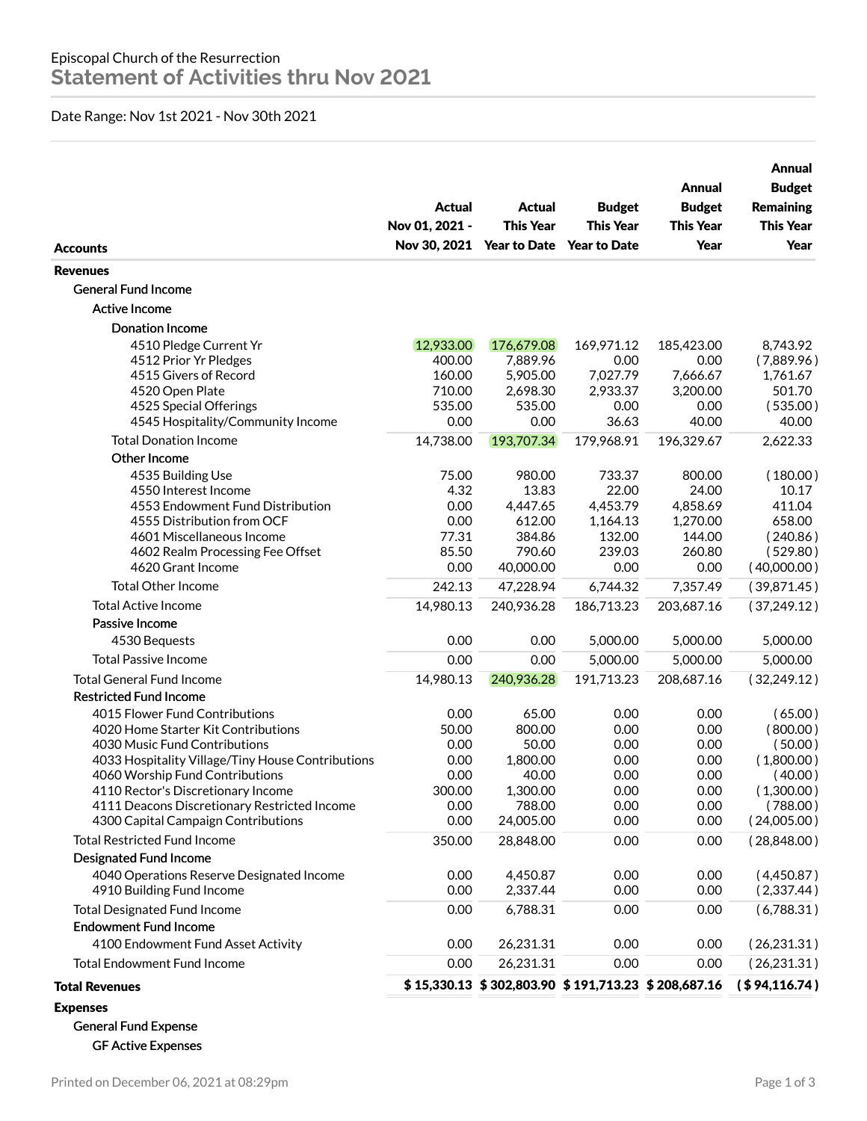## Date Range: Nov 1st 2021 - Nov 30th 2021

| <b>Accounts</b>                                                                                                                                                                                                                                                                                                             | <b>Actual</b><br>Nov 01, 2021 -                                 | <b>Actual</b><br><b>This Year</b><br>Nov 30, 2021 Year to Date                   | <b>Budget</b><br><b>This Year</b><br><b>Year to Date</b>            | Annual<br><b>Budget</b><br><b>This Year</b><br>Year                 | Annual<br><b>Budget</b><br><b>Remaining</b><br><b>This Year</b><br>Year                          |
|-----------------------------------------------------------------------------------------------------------------------------------------------------------------------------------------------------------------------------------------------------------------------------------------------------------------------------|-----------------------------------------------------------------|----------------------------------------------------------------------------------|---------------------------------------------------------------------|---------------------------------------------------------------------|--------------------------------------------------------------------------------------------------|
| <b>Revenues</b>                                                                                                                                                                                                                                                                                                             |                                                                 |                                                                                  |                                                                     |                                                                     |                                                                                                  |
| <b>General Fund Income</b>                                                                                                                                                                                                                                                                                                  |                                                                 |                                                                                  |                                                                     |                                                                     |                                                                                                  |
| <b>Active Income</b>                                                                                                                                                                                                                                                                                                        |                                                                 |                                                                                  |                                                                     |                                                                     |                                                                                                  |
| <b>Donation Income</b>                                                                                                                                                                                                                                                                                                      |                                                                 |                                                                                  |                                                                     |                                                                     |                                                                                                  |
| 4510 Pledge Current Yr<br>4512 Prior Yr Pledges<br>4515 Givers of Record<br>4520 Open Plate<br>4525 Special Offerings<br>4545 Hospitality/Community Income                                                                                                                                                                  | 12,933.00<br>400.00<br>160.00<br>710.00<br>535.00<br>0.00       | 176,679.08<br>7,889.96<br>5,905.00<br>2,698.30<br>535.00<br>0.00                 | 169,971.12<br>0.00<br>7,027.79<br>2,933.37<br>0.00<br>36.63         | 185,423.00<br>0.00<br>7,666.67<br>3,200.00<br>0.00<br>40.00         | 8,743.92<br>(7,889.96)<br>1,761.67<br>501.70<br>(535.00)<br>40.00                                |
| <b>Total Donation Income</b>                                                                                                                                                                                                                                                                                                | 14,738.00                                                       | 193,707.34                                                                       | 179,968.91                                                          | 196,329.67                                                          | 2,622.33                                                                                         |
| Other Income<br>4535 Building Use<br>4550 Interest Income<br>4553 Endowment Fund Distribution<br>4555 Distribution from OCF<br>4601 Miscellaneous Income<br>4602 Realm Processing Fee Offset<br>4620 Grant Income                                                                                                           | 75.00<br>4.32<br>0.00<br>0.00<br>77.31<br>85.50<br>0.00         | 980.00<br>13.83<br>4,447.65<br>612.00<br>384.86<br>790.60<br>40,000.00           | 733.37<br>22.00<br>4,453.79<br>1,164.13<br>132.00<br>239.03<br>0.00 | 800.00<br>24.00<br>4,858.69<br>1,270.00<br>144.00<br>260.80<br>0.00 | (180.00)<br>10.17<br>411.04<br>658.00<br>(240.86)<br>(529.80)<br>(40,000.00)                     |
| <b>Total Other Income</b>                                                                                                                                                                                                                                                                                                   | 242.13                                                          | 47,228.94                                                                        | 6,744.32                                                            | 7,357.49                                                            | (39,871.45)                                                                                      |
| <b>Total Active Income</b>                                                                                                                                                                                                                                                                                                  | 14,980.13                                                       | 240,936.28                                                                       | 186,713.23                                                          | 203,687.16                                                          | (37, 249.12)                                                                                     |
| Passive Income                                                                                                                                                                                                                                                                                                              |                                                                 |                                                                                  |                                                                     |                                                                     |                                                                                                  |
| 4530 Bequests                                                                                                                                                                                                                                                                                                               | 0.00                                                            | 0.00                                                                             | 5,000.00                                                            | 5,000.00                                                            | 5,000.00                                                                                         |
| <b>Total Passive Income</b>                                                                                                                                                                                                                                                                                                 | 0.00                                                            | 0.00                                                                             | 5,000.00                                                            | 5,000.00                                                            | 5,000.00                                                                                         |
| <b>Total General Fund Income</b>                                                                                                                                                                                                                                                                                            | 14,980.13                                                       | 240,936.28                                                                       | 191,713.23                                                          | 208,687.16                                                          | (32, 249.12)                                                                                     |
| <b>Restricted Fund Income</b>                                                                                                                                                                                                                                                                                               |                                                                 |                                                                                  |                                                                     |                                                                     |                                                                                                  |
| 4015 Flower Fund Contributions<br>4020 Home Starter Kit Contributions<br>4030 Music Fund Contributions<br>4033 Hospitality Village/Tiny House Contributions<br>4060 Worship Fund Contributions<br>4110 Rector's Discretionary Income<br>4111 Deacons Discretionary Restricted Income<br>4300 Capital Campaign Contributions | 0.00<br>50.00<br>0.00<br>0.00<br>0.00<br>300.00<br>0.00<br>0.00 | 65.00<br>800.00<br>50.00<br>1,800.00<br>40.00<br>1,300.00<br>788.00<br>24,005.00 | 0.00<br>0.00<br>0.00<br>0.00<br>0.00<br>0.00<br>0.00<br>0.00        | 0.00<br>0.00<br>0.00<br>0.00<br>0.00<br>0.00<br>0.00<br>0.00        | (65.00)<br>(800.00)<br>(50.00)<br>(1,800.00)<br>(40.00)<br>(1,300.00)<br>(788.00)<br>(24,005.00) |
| <b>Total Restricted Fund Income</b>                                                                                                                                                                                                                                                                                         | 350.00                                                          | 28,848.00                                                                        | 0.00                                                                | 0.00                                                                | (28,848.00)                                                                                      |
| Designated Fund Income<br>4040 Operations Reserve Designated Income<br>4910 Building Fund Income                                                                                                                                                                                                                            | 0.00<br>0.00                                                    | 4,450.87<br>2,337.44                                                             | 0.00<br>0.00                                                        | 0.00<br>0.00                                                        | (4,450.87)<br>(2,337.44)                                                                         |
| <b>Total Designated Fund Income</b>                                                                                                                                                                                                                                                                                         | 0.00                                                            | 6,788.31                                                                         | 0.00                                                                | 0.00                                                                | (6,788.31)                                                                                       |
| <b>Endowment Fund Income</b>                                                                                                                                                                                                                                                                                                |                                                                 |                                                                                  |                                                                     |                                                                     |                                                                                                  |
| 4100 Endowment Fund Asset Activity                                                                                                                                                                                                                                                                                          | 0.00                                                            | 26,231.31                                                                        | 0.00                                                                | 0.00                                                                | (26, 231.31)                                                                                     |
| <b>Total Endowment Fund Income</b>                                                                                                                                                                                                                                                                                          | 0.00                                                            | 26,231.31                                                                        | 0.00                                                                | 0.00                                                                | (26, 231.31)                                                                                     |
| <b>Total Revenues</b>                                                                                                                                                                                                                                                                                                       |                                                                 |                                                                                  |                                                                     | \$15,330.13 \$302,803.90 \$191,713.23 \$208,687.16                  | ( \$ 94, 116.74 )                                                                                |
| <b>Expenses</b>                                                                                                                                                                                                                                                                                                             |                                                                 |                                                                                  |                                                                     |                                                                     |                                                                                                  |

General Fund Expense GF Active Expenses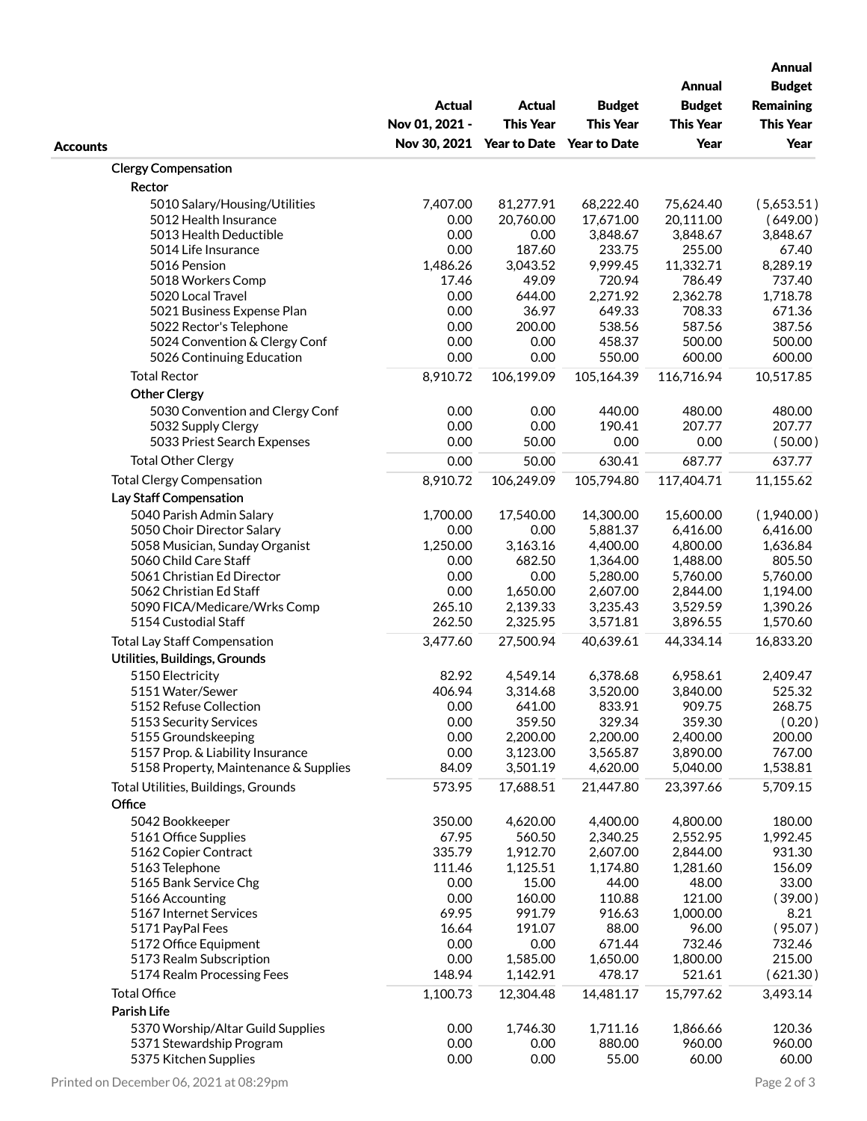|                                                 | Actual<br>Nov 01, 2021 -               | <b>Actual</b><br><b>This Year</b> | <b>Budget</b><br><b>This Year</b> | <b>Annual</b><br><b>Budget</b><br><b>This Year</b> | <b>Annual</b><br><b>Budget</b><br><b>Remaining</b><br><b>This Year</b> |
|-------------------------------------------------|----------------------------------------|-----------------------------------|-----------------------------------|----------------------------------------------------|------------------------------------------------------------------------|
| <b>Accounts</b>                                 | Nov 30, 2021 Year to Date Year to Date |                                   |                                   | Year                                               | Year                                                                   |
| <b>Clergy Compensation</b>                      |                                        |                                   |                                   |                                                    |                                                                        |
| Rector                                          |                                        |                                   |                                   |                                                    |                                                                        |
| 5010 Salary/Housing/Utilities                   | 7,407.00                               | 81,277.91                         | 68,222.40                         | 75,624.40                                          | (5,653.51)                                                             |
| 5012 Health Insurance                           | 0.00                                   | 20,760.00                         | 17,671.00                         | 20,111.00                                          | (649.00)                                                               |
| 5013 Health Deductible                          | 0.00                                   | 0.00                              | 3,848.67                          | 3,848.67                                           | 3,848.67                                                               |
| 5014 Life Insurance                             | 0.00                                   | 187.60                            | 233.75                            | 255.00                                             | 67.40                                                                  |
| 5016 Pension                                    | 1,486.26                               | 3,043.52                          | 9,999.45                          | 11,332.71                                          | 8,289.19                                                               |
| 5018 Workers Comp                               | 17.46                                  | 49.09                             | 720.94                            | 786.49                                             | 737.40                                                                 |
| 5020 Local Travel<br>5021 Business Expense Plan | 0.00<br>0.00                           | 644.00<br>36.97                   | 2,271.92<br>649.33                | 2,362.78<br>708.33                                 | 1,718.78<br>671.36                                                     |
| 5022 Rector's Telephone                         | 0.00                                   | 200.00                            | 538.56                            | 587.56                                             | 387.56                                                                 |
| 5024 Convention & Clergy Conf                   | 0.00                                   | 0.00                              | 458.37                            | 500.00                                             | 500.00                                                                 |
| 5026 Continuing Education                       | 0.00                                   | 0.00                              | 550.00                            | 600.00                                             | 600.00                                                                 |
| <b>Total Rector</b>                             | 8,910.72                               | 106,199.09                        | 105,164.39                        | 116,716.94                                         | 10,517.85                                                              |
| <b>Other Clergy</b>                             |                                        |                                   |                                   |                                                    |                                                                        |
| 5030 Convention and Clergy Conf                 | 0.00                                   | 0.00                              | 440.00                            | 480.00                                             | 480.00                                                                 |
| 5032 Supply Clergy                              | 0.00                                   | 0.00                              | 190.41                            | 207.77                                             | 207.77                                                                 |
| 5033 Priest Search Expenses                     | 0.00                                   | 50.00                             | 0.00                              | 0.00                                               | (50.00)                                                                |
| <b>Total Other Clergy</b>                       | 0.00                                   | 50.00                             | 630.41                            | 687.77                                             | 637.77                                                                 |
| <b>Total Clergy Compensation</b>                | 8,910.72                               | 106,249.09                        | 105,794.80                        | 117,404.71                                         | 11,155.62                                                              |
| Lay Staff Compensation                          |                                        |                                   |                                   |                                                    |                                                                        |
| 5040 Parish Admin Salary                        | 1,700.00                               | 17,540.00                         | 14,300.00                         | 15,600.00                                          | (1,940.00)                                                             |
| 5050 Choir Director Salary                      | 0.00                                   | 0.00                              | 5,881.37                          | 6,416.00                                           | 6,416.00                                                               |
| 5058 Musician, Sunday Organist                  | 1,250.00                               | 3,163.16                          | 4,400.00                          | 4,800.00                                           | 1,636.84                                                               |
| 5060 Child Care Staff                           | 0.00                                   | 682.50                            | 1,364.00                          | 1,488.00                                           | 805.50                                                                 |
| 5061 Christian Ed Director                      | 0.00                                   | 0.00                              | 5,280.00                          | 5,760.00                                           | 5,760.00                                                               |
| 5062 Christian Ed Staff                         | 0.00                                   | 1,650.00                          | 2,607.00                          | 2,844.00                                           | 1,194.00                                                               |
| 5090 FICA/Medicare/Wrks Comp                    | 265.10                                 | 2,139.33                          | 3,235.43                          | 3,529.59                                           | 1,390.26                                                               |
| 5154 Custodial Staff                            | 262.50                                 | 2,325.95                          | 3,571.81                          | 3,896.55                                           | 1,570.60                                                               |
| <b>Total Lay Staff Compensation</b>             | 3,477.60                               | 27,500.94                         | 40,639.61                         | 44,334.14                                          | 16,833.20                                                              |
| Utilities, Buildings, Grounds                   |                                        |                                   |                                   |                                                    |                                                                        |
| 5150 Electricity                                | 82.92                                  | 4,549.14                          | 6,378.68                          | 6,958.61                                           | 2,409.47                                                               |
| 5151 Water/Sewer                                | 406.94                                 | 3,314.68                          | 3,520.00                          | 3,840.00                                           | 525.32                                                                 |
| 5152 Refuse Collection                          | 0.00                                   | 641.00                            | 833.91                            | 909.75                                             | 268.75                                                                 |
| 5153 Security Services                          | 0.00                                   | 359.50                            | 329.34                            | 359.30                                             | (0.20)                                                                 |
| 5155 Groundskeeping                             | 0.00                                   | 2,200.00                          | 2,200.00                          | 2,400.00                                           | 200.00                                                                 |
| 5157 Prop. & Liability Insurance                | 0.00                                   | 3,123.00                          | 3,565.87                          | 3,890.00                                           | 767.00                                                                 |
| 5158 Property, Maintenance & Supplies           | 84.09                                  | 3,501.19                          | 4,620.00                          | 5,040.00                                           | 1,538.81                                                               |
| Total Utilities, Buildings, Grounds             | 573.95                                 | 17,688.51                         | 21,447.80                         | 23,397.66                                          | 5,709.15                                                               |
| Office                                          |                                        |                                   |                                   |                                                    |                                                                        |
| 5042 Bookkeeper                                 | 350.00                                 | 4,620.00                          | 4,400.00                          | 4,800.00                                           | 180.00                                                                 |
| 5161 Office Supplies                            | 67.95                                  | 560.50                            | 2,340.25                          | 2,552.95                                           | 1,992.45                                                               |
| 5162 Copier Contract                            | 335.79                                 | 1,912.70                          | 2,607.00                          | 2,844.00                                           | 931.30                                                                 |
| 5163 Telephone<br>5165 Bank Service Chg         | 111.46<br>0.00                         | 1,125.51<br>15.00                 | 1,174.80<br>44.00                 | 1,281.60<br>48.00                                  | 156.09<br>33.00                                                        |
| 5166 Accounting                                 | 0.00                                   | 160.00                            | 110.88                            | 121.00                                             | (39.00)                                                                |
| 5167 Internet Services                          | 69.95                                  | 991.79                            | 916.63                            | 1,000.00                                           | 8.21                                                                   |
| 5171 PayPal Fees                                | 16.64                                  | 191.07                            | 88.00                             | 96.00                                              | (95.07)                                                                |
| 5172 Office Equipment                           | 0.00                                   | 0.00                              | 671.44                            | 732.46                                             | 732.46                                                                 |
| 5173 Realm Subscription                         | 0.00                                   | 1,585.00                          | 1,650.00                          | 1,800.00                                           | 215.00                                                                 |
| 5174 Realm Processing Fees                      | 148.94                                 | 1,142.91                          | 478.17                            | 521.61                                             | (621.30)                                                               |
| <b>Total Office</b>                             | 1,100.73                               | 12,304.48                         | 14,481.17                         | 15,797.62                                          | 3,493.14                                                               |
| Parish Life                                     |                                        |                                   |                                   |                                                    |                                                                        |
| 5370 Worship/Altar Guild Supplies               | 0.00                                   | 1,746.30                          | 1,711.16                          | 1,866.66                                           | 120.36                                                                 |
| 5371 Stewardship Program                        | 0.00                                   | 0.00                              | 880.00                            | 960.00                                             | 960.00                                                                 |
| 5375 Kitchen Supplies                           | 0.00                                   | 0.00                              | 55.00                             | 60.00                                              | 60.00                                                                  |